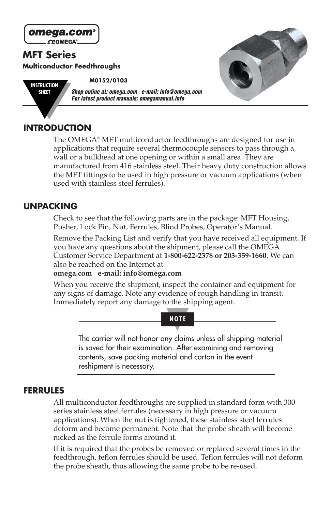

## **INTRODUCTION**

The OMEGA® MFT multiconductor feedthroughs are designed for use in applications that require several thermocouple sensors to pass through a wall or a bulkhead at one opening or within a small area. They are manufactured from 416 stainless steel. Their heavy duty construction allows the MFT fittings to be used in high pressure or vacuum applications (when used with stainless steel ferrules).

### **UNPACKING**

Check to see that the following parts are in the package: MFT Housing, Pusher, Lock Pin, Nut, Ferrules, Blind Probes, Operator's Manual.

Remove the Packing List and verify that you have received all equipment. If you have any questions about the shipment, please call the OMEGA Customer Service Department at **1-800-622-2378 or 203-359-1660**. We can also be reached on the Internet at

#### **omega.com e-mail: info@omega.com**

When you receive the shipment, inspect the container and equipment for any signs of damage. Note any evidence of rough handling in transit. Immediately report any damage to the shipping agent.



The carrier will not honor any claims unless all shipping material is saved for their examination. After examining and removing contents, save packing material and carton in the event reshipment is necessary.

### **FERRULES**

All multiconductor feedthroughs are supplied in standard form with 300 series stainless steel ferrules (necessary in high pressure or vacuum applications). When the nut is tightened, these stainless steel ferrules deform and become permanent. Note that the probe sheath will become nicked as the ferrule forms around it.

If it is required that the probes be removed or replaced several times in the feedthrough, teflon ferrules should be used. Teflon ferrules will not deform the probe sheath, thus allowing the same probe to be re-used.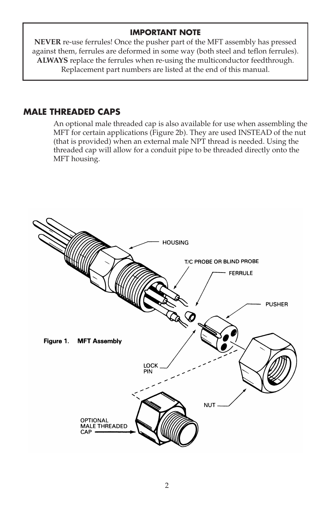### **IMPORTANT NOTE**

**NEVER** re-use ferrules! Once the pusher part of the MFT assembly has pressed against them, ferrules are deformed in some way (both steel and teflon ferrules). **ALWAYS** replace the ferrules when re-using the multiconductor feedthrough. Replacement part numbers are listed at the end of this manual.

### **MALE THREADED CAPS**

An optional male threaded cap is also available for use when assembling the MFT for certain applications (Figure 2b). They are used INSTEAD of the nut (that is provided) when an external male NPT thread is needed. Using the threaded cap will allow for a conduit pipe to be threaded directly onto the MFT housing.

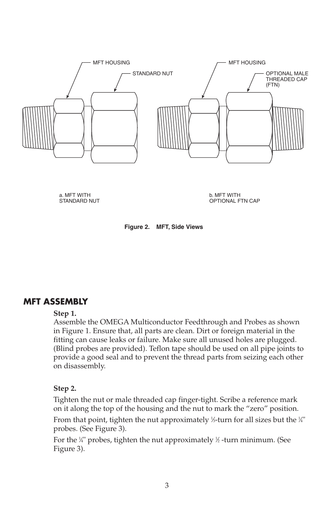

a. MFT WITH STANDARD NUT b. MFT WITH OPTIONAL FTN CAP



### **MFT ASSEMBLY**

#### **Step 1.**

Assemble the OMEGA Multiconductor Feedthrough and Probes as shown in Figure 1. Ensure that, all parts are clean. Dirt or foreign material in the fitting can cause leaks or failure. Make sure all unused holes are plugged. (Blind probes are provided). Teflon tape should be used on all pipe joints to provide a good seal and to prevent the thread parts from seizing each other on disassembly.

#### **Step 2.**

Tighten the nut or male threaded cap finger-tight. Scribe a reference mark on it along the top of the housing and the nut to mark the "zero" position.

From that point, tighten the nut approximately ½-turn for all sizes but the ¼" probes. (See Figure 3).

For the 1 ⁄4" probes, tighten the nut approximately 1 ⁄2 -turn minimum. (See Figure 3).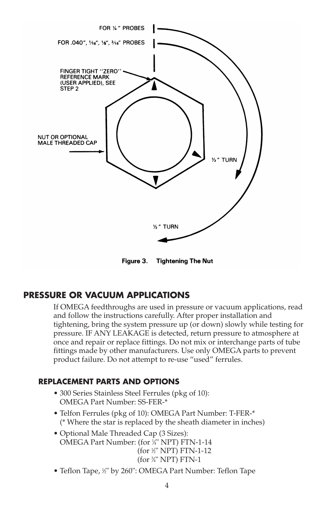

Figure 3. Tightening The Nut

### **PRESSURE OR VACUUM APPLICATIONS**

If OMEGA feedthroughs are used in pressure or vacuum applications, read and follow the instructions carefully. After proper installation and tightening, bring the system pressure up (or down) slowly while testing for pressure. IF ANY LEAKAGE is detected, return pressure to atmosphere at once and repair or replace fittings. Do not mix or interchange parts of tube fittings made by other manufacturers. Use only OMEGA parts to prevent product failure. Do not attempt to re-use "used" ferrules.

### **REPLACEMENT PARTS AND OPTIONS**

- 300 Series Stainless Steel Ferrules (pkg of 10): OMEGA Part Number: SS-FER-\*
- Telfon Ferrules (pkg of 10): OMEGA Part Number: T-FER-\* (\* Where the star is replaced by the sheath diameter in inches)
- Optional Male Threaded Cap (3 Sizes): OMEGA Part Number: (for 1 ⁄4" NPT) FTN-1-14 (for 1 ⁄2" NPT) FTN-1-12 (for 3 ⁄4" NPT) FTN-1
- Teflon Tape, ½" by 260": OMEGA Part Number: Teflon Tape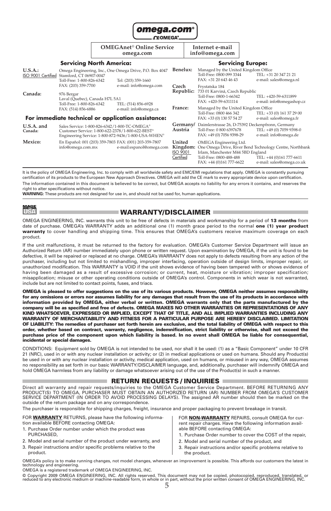

|                               |                                                                                                                                                          | <b>OMEGAnet<sup>®</sup> Online Service</b><br>omega.com |                                                                                                    |                                             |                     | Internet e-mail<br>info@omega.com                                                                                                                   |                                                                                                       |                                                                                                                   |  |
|-------------------------------|----------------------------------------------------------------------------------------------------------------------------------------------------------|---------------------------------------------------------|----------------------------------------------------------------------------------------------------|---------------------------------------------|---------------------|-----------------------------------------------------------------------------------------------------------------------------------------------------|-------------------------------------------------------------------------------------------------------|-------------------------------------------------------------------------------------------------------------------|--|
|                               | <b>Servicing North America:</b>                                                                                                                          |                                                         |                                                                                                    |                                             |                     | <b>Servicing Europe:</b>                                                                                                                            |                                                                                                       |                                                                                                                   |  |
| U.S.A.:<br>ISO 9001 Certified | Stamford, CT 06907-0047<br>Toll-Free: 1-800-826-6342                                                                                                     |                                                         | Omega Engineering, Inc., One Omega Drive, P.O. Box 4047<br>Tel: (203) 359-1660                     | Benelux:                                    |                     | Managed by the United Kingdom Office<br>Toll-Free: 0800 099 3344<br>FAX: +31 20 643 46 43                                                           |                                                                                                       | TEL: +31 20 347 21 21<br>e-mail: sales@omega.nl                                                                   |  |
| Canada:                       | FAX: (203) 359-7700<br>976 Bergar<br>Laval (Quebec), Canada H7L 5A1                                                                                      |                                                         | e-mail: info@omega.com                                                                             | Czech<br>Republic:                          |                     | Frystatska 184<br>733 01 Karviná, Czech Republic<br>Toll-Free: 0800-1-66342<br>TEL: +420-59-6311899<br>FAX: +420-59-6311114                         |                                                                                                       | e-mail: info@omegashop.cz                                                                                         |  |
|                               | Toll-Free: 1-800-826-6342<br>FAX: (514) 856-6886                                                                                                         |                                                         | TEL: (514) 856-6928<br>e-mail: info@omega.ca<br>For immediate technical or application assistance: | France:                                     |                     | Managed by the United Kingdom Office<br>Toll-Free: 0800 466 342<br>TEL: +33 (0) 161 37 29 00<br>FAX: +33 (0) 130 57 54 27<br>e-mail: sales@omega.fr |                                                                                                       |                                                                                                                   |  |
| $U.S.A.$ and<br>Canada:       | Sales Service: 1-800-826-6342/1-800-TC-OMEGA®<br>Customer Service: 1-800-622-2378/1-800-622-BEST®<br>Engineering Service: 1-800-872-9436/1-800-USA-WHEN® |                                                         |                                                                                                    |                                             | Germany/<br>Austria | Toll-Free: 0 800 6397678<br>FAX: +49 (0) 7056 9398-29                                                                                               | Daimlerstrasse 26, D-75392 Deckenpfronn, Germany<br>TEL: +49 (0) 7059 9398-0<br>e-mail: info@omega.de |                                                                                                                   |  |
| Mexico:                       | info@omega.com.mx                                                                                                                                        |                                                         | En Español: 001 (203) 359-7803 FAX: (001) 203-359-7807<br>e-mail:espanol@omega.com                 | United<br>Kingdom:<br>ISO 9001<br>Certified |                     | OMEGA Engineering Ltd.<br>Irlam, Manchester M44 5BD England<br>Toll-Free: 0800-488-488<br>FAX: +44 (0)161 777-6622                                  |                                                                                                       | One Omega Drive, River Bend Technology Centre, Northbank<br>TEL: +44 (0)161 777-6611<br>e-mail: sales@omega.co.uk |  |

It is the policy of OMEGA Engineering, Inc. to comply with all worldwide safety and EMC/EMI regulations that apply. OMEGA is constantly pursuing certification of its products to the European New Approach Directives. OMEGA will add the CE mark to every appropriate device upon certification. The information contained in this document is believed to be correct, but OMEGA accepts no liability for any errors it contains, and reserves the right to alter specifications without notice.

**WARNING:** These products are not designed for use in, and should not be used for, human applications.

iten

#### **WARRANTY/DISCLAIMER**

OMEGA ENGINEERING, INC. warrants this unit to be free of defects in materials and workmanship for a period of **13 months** from date of purchase. OMEGA's WARRANTY adds an additional one (1) month grace period to the normal **one (1) year product warranty** to cover handling and shipping time. This ensures that OMEGA's customers receive maximum coverage on each product.

If the unit malfunctions, it must be returned to the factory for evaluation. OMEGA's Customer Service Department will issue an Authorized Return (AR) number immediately upon phone or written request. Upon examination by OMEGA, if the unit is found to be defective, it will be repaired or replaced at no charge. OMEGA's WARRANTY does not apply to defects resulting from any action of the purchaser, including but not limited to mishandling, improper interfacing, operation outside of design limits, improper repair, or unauthorized modification. This WARRANTY is VOID if the unit shows evidence of having been tampered with or shows evidence of having been damaged as a result of excessive corrosion; or current, heat, moisture or vibration; improper specification; misapplication; misuse or other operating conditions outside of OMEGA's control. Components in which wear is not warranted, include but are not limited to contact points, fuses, and triacs.

**OMEGA is pleased to offer suggestions on the use of its various products. However, OMEGA neither assumes responsibility** for any omissions or errors nor assumes liability for any damages that result from the use of its products in accordance with<br>information provided by OMEGA, either verbal or written. OMEGA warrants only that the parts manu **company will be as specified and free of defects. OMEGA MAKES NO OTHER WARRANTIES OR REPRESENTATIONS OF ANY KIND WHATSOEVER, EXPRESSED OR IMPLIED, EXCEPT THAT OF TITLE, AND ALL IMPLIED WARRANTIES INCLUDING ANY WARRANTY OF MERCHANTABILITY AND FITNESS FOR A PARTICULAR PURPOSE ARE HEREBY DISCLAIMED. LIMITATION OF LIABILITY: The remedies of purchaser set forth herein are exclusive, and the total liability of OMEGA with respect to this order, whether based on contract, warranty, negligence, indemnification, strict liability or otherwise, shall not exceed the purchase price of the component upon which liability is based. In no event shall OMEGA be liable for consequential, incidental or special damages.**

CONDITIONS: Equipment sold by OMEGA is not intended to be used, nor shall it be used: (1) as a "Basic Component" under 10 CFR 21 (NRC), used in or with any nuclear installation or activity; or (2) in medical applications or used on humans. Should any Product(s) be used in or with any nuclear installation or activity, medical application, used on humans, or misused in any way, OMEGA assumes no responsibility as set forth in our basic WARRANTY/ DISCLAIMER language, and, additionally, purchaser will indemnify OMEGA and hold OMEGA harmless from any liability or damage whatsoever arising out of the use of the Product(s) in such a manner.

#### **RETURN REQUESTS / INQUIRIES**

Direct all warranty and repair requests/inquiries to the OMEGA Customer Service Department. BEFORE RETURNING ANY PRODUCT(S) TO OMEGA, PURCHASER MUST OBTAIN AN AUTHORIZED RETURN (AR) NUMBER FROM OMEGA'S CUSTOMER SERVICE DEPARTMENT (IN ORDER TO AVOID PROCESSING DELAYS). The assigned AR number should then be marked on the outside of the return package and on any correspondence.

The purchaser is responsible for shipping charges, freight, insurance and proper packaging to prevent breakage in transit.

FOR **WARRANTY** RETURNS, please have the following information available BEFORE contacting OMEGA:

- 1. Purchase Order number under which the product was **PURCHASED**
- 2. Model and serial number of the product under warranty, and
- 3. Repair instructions and/or specific problems relative to the product.

FOR **NON-WARRANTY** REPAIRS, consult OMEGA for current repair charges. Have the following information available BEFORE contacting OMEGA:

- 1. Purchase Order number to cover the COST of the repair,
- 2. Model and serial number of the product, and
- 3. Repair instructions and/or specific problems relative to the product.

OMEGA's policy is to make running changes, not model changes, whenever an improvement is possible. This affords our customers the latest in<br>technology and engineering. OMEGA is a registered trademark of OMEGA ENGINEERING, INC.

© Copyright 2009 OMEGA ENGINEERING, INC. All rights reserved. This document may not be copied, photocopied, reproduced, translated, or reduced to any electronic medium or machine-readable form, in whole or in part, without